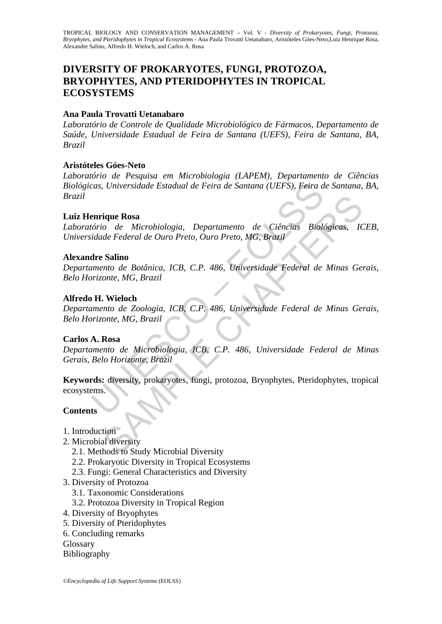# **DIVERSITY OF PROKARYOTES, FUNGI, PROTOZOA, BRYOPHYTES, AND PTERIDOPHYTES IN TROPICAL ECOSYSTEMS**

## **Ana Paula Trovatti Uetanabaro**

*Laboratório de Controle de Qualidade Microbiológico de Fármacos, Departamento de Saúde, Universidade Estadual de Feira de Santana (UEFS), Feira de Santana, BA, Brazil* 

# **Aristóteles Góes-Neto**

*Laboratório de Pesquisa em Microbiologia (LAPEM), Departamento de Ciências Biológicas, Universidade Estadual de Feira de Santana (UEFS), Feira de Santana, BA, Brazil* 

# **Luiz Henrique Rosa**

*Laboratório de Microbiologia, Departamento de Ciências Biológicas, ICEB, Universidade Federal de Ouro Preto, Ouro Preto, MG, Brazil* 

# **Alexandre Salino**

*Departamento de Botânica, ICB, C.P. 486, Universidade Federal de Minas Gerais, Belo Horizonte, MG, Brazil* 

# **Alfredo H. Wieloch**

cas, Universidade Estadual de Feira de Santana (UEFS), Feira d<br>
enrique Rosa<br>
enrique Rosa<br>
dório de Microbiologia, Departamento de Ciências Biologia<br>
diade Federal de Ouro Preto, Ouro Preto, MG, Brazil<br>
dre Salino<br>
orrizo **ique Rosa**<br>
o de Microbiologia, Departamento de Ciências Biológicas, IC<br>
de Federal de Ouro Preto, Ouro Preto, MG, Brazil<br> **Salino**<br>
mto de Botânica, ICB, C.P. 486, Universidade Federal de Minas Gei<br> **Nieloch**<br>
mto de Zoo *Departamento de Zoologia, ICB, C.P. 486, Universidade Federal de Minas Gerais, Belo Horizonte, MG, Brazil* 

### **Carlos A. Rosa**

*Departamento de Microbiologia, ICB, C.P. 486, Universidade Federal de Minas Gerais, Belo Horizonte, Brazil* 

**Keywords:** diversity, prokaryotes, fungi, protozoa, Bryophytes, Pteridophytes, tropical ecosystems.

### **Contents**

- 1. Introduction
- 2. Microbial diversity
	- 2.1. Methods to Study Microbial Diversity
	- 2.2. Prokaryotic Diversity in Tropical Ecosystems
	- 2.3. Fungi: General Characteristics and Diversity
- 3. Diversity of Protozoa
	- 3.1. Taxonomic Considerations
	- 3.2. Protozoa Diversity in Tropical Region
- 4. Diversity of Bryophytes
- 5. Diversity of Pteridophytes
- 6. Concluding remarks
- **Glossary**
- Bibliography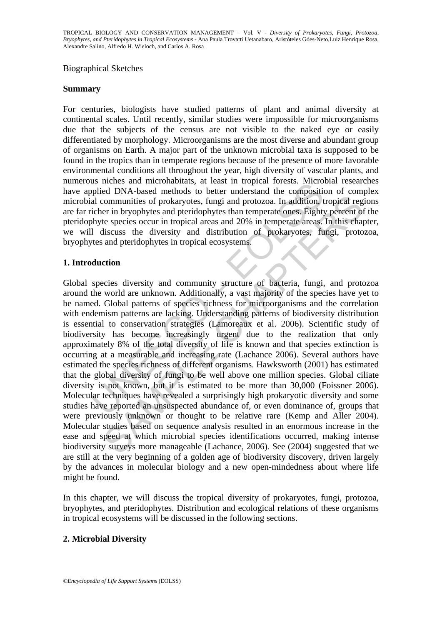#### Biographical Sketches

#### **Summary**

For centuries, biologists have studied patterns of plant and animal diversity at continental scales. Until recently, similar studies were impossible for microorganisms due that the subjects of the census are not visible to the naked eye or easily differentiated by morphology. Microorganisms are the most diverse and abundant group of organisms on Earth. A major part of the unknown microbial taxa is supposed to be found in the tropics than in temperate regions because of the presence of more favorable environmental conditions all throughout the year, high diversity of vascular plants, and numerous niches and microhabitats, at least in tropical forests. Microbial researches have applied DNA-based methods to better understand the composition of complex microbial communities of prokaryotes, fungi and protozoa. In addition, tropical regions are far richer in bryophytes and pteridophytes than temperate ones. Eighty percent of the pteridophyte species occur in tropical areas and 20% in temperate areas. In this chapter, we will discuss the diversity and distribution of prokaryotes, fungi, protozoa, bryophytes and pteridophytes in tropical ecosystems.

### **1. Introduction**

is increased incolution and is east in upperal research and increased populated DNA-based methods to better understand the composition and composition incident in bryophytes and pteridophytes than temperate ones. Eighty by communities of prokaryotes, fungi and protozoa. In addition, tropical reger in bryophytes and petridophytes than temperate ones. Eighty percent of exercise occur in tropical areas and 20% in temperate careas. In this chapt Global species diversity and community structure of bacteria, fungi, and protozoa around the world are unknown. Additionally, a vast majority of the species have yet to be named. Global patterns of species richness for microorganisms and the correlation with endemism patterns are lacking. Understanding patterns of biodiversity distribution is essential to conservation strategies (Lamoreaux et al. 2006). Scientific study of biodiversity has become increasingly urgent due to the realization that only approximately 8% of the total diversity of life is known and that species extinction is occurring at a measurable and increasing rate (Lachance 2006). Several authors have estimated the species richness of different organisms. Hawksworth (2001) has estimated that the global diversity of fungi to be well above one million species. Global ciliate diversity is not known, but it is estimated to be more than 30,000 (Foissner 2006). Molecular techniques have revealed a surprisingly high prokaryotic diversity and some studies have reported an unsuspected abundance of, or even dominance of, groups that were previously unknown or thought to be relative rare (Kemp and Aller 2004). Molecular studies based on sequence analysis resulted in an enormous increase in the ease and speed at which microbial species identifications occurred, making intense biodiversity surveys more manageable (Lachance, 2006). See (2004) suggested that we are still at the very beginning of a golden age of biodiversity discovery, driven largely by the advances in molecular biology and a new open-mindedness about where life might be found.

In this chapter, we will discuss the tropical diversity of prokaryotes, fungi, protozoa, bryophytes, and pteridophytes. Distribution and ecological relations of these organisms in tropical ecosystems will be discussed in the following sections.

### **2. Microbial Diversity**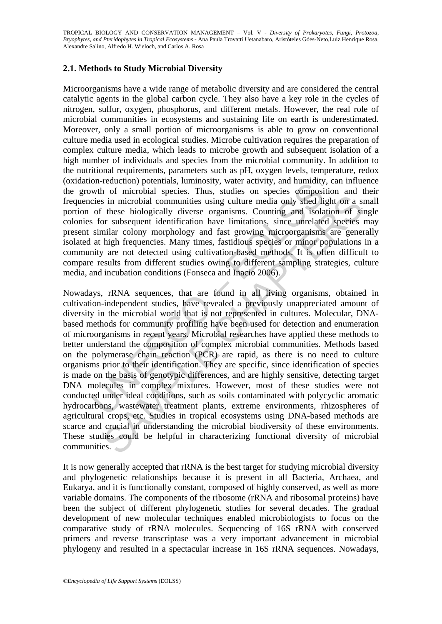## **2.1. Methods to Study Microbial Diversity**

Microorganisms have a wide range of metabolic diversity and are considered the central catalytic agents in the global carbon cycle. They also have a key role in the cycles of nitrogen, sulfur, oxygen, phosphorus, and different metals. However, the real role of microbial communities in ecosystems and sustaining life on earth is underestimated. Moreover, only a small portion of microorganisms is able to grow on conventional culture media used in ecological studies. Microbe cultivation requires the preparation of complex culture media, which leads to microbe growth and subsequent isolation of a high number of individuals and species from the microbial community. In addition to the nutritional requirements, parameters such as pH, oxygen levels, temperature, redox (oxidation-reduction) potentials, luminosity, water activity, and humidity, can influence the growth of microbial species. Thus, studies on species composition and their frequencies in microbial communities using culture media only shed light on a small portion of these biologically diverse organisms. Counting and isolation of single colonies for subsequent identification have limitations, since unrelated species may present similar colony morphology and fast growing microorganisms are generally isolated at high frequencies. Many times, fastidious species or minor populations in a community are not detected using cultivation-based methods. It is often difficult to compare results from different studies owing to different sampling strategies, culture media, and incubation conditions (Fonseca and Inacio 2006).

on-leaded to minimality, where accurity, and numeral<br>on-leaded on process composition potential species. Thus, studies on species composities in microbial species. Thus, studies on species composities in microbial communit is in microbial communities using culture media only shed light on a si<br>these biologically diverse organisms. Counting and isolation of si<br>the biologically diverse organisms. Counting and isolation of si<br>at the underpartic Nowadays, rRNA sequences, that are found in all living organisms, obtained in cultivation-independent studies, have revealed a previously unappreciated amount of diversity in the microbial world that is not represented in cultures. Molecular, DNAbased methods for community profiling have been used for detection and enumeration of microorganisms in recent years. Microbial researches have applied these methods to better understand the composition of complex microbial communities. Methods based on the polymerase chain reaction (PCR) are rapid, as there is no need to culture organisms prior to their identification. They are specific, since identification of species is made on the basis of genotypic differences, and are highly sensitive, detecting target DNA molecules in complex mixtures. However, most of these studies were not conducted under ideal conditions, such as soils contaminated with polycyclic aromatic hydrocarbons, wastewater treatment plants, extreme environments, rhizospheres of agricultural crops, etc. Studies in tropical ecosystems using DNA-based methods are scarce and crucial in understanding the microbial biodiversity of these environments. These studies could be helpful in characterizing functional diversity of microbial communities.

It is now generally accepted that rRNA is the best target for studying microbial diversity and phylogenetic relationships because it is present in all Bacteria, Archaea, and Eukarya, and it is functionally constant, composed of highly conserved, as well as more variable domains. The components of the ribosome (rRNA and ribosomal proteins) have been the subject of different phylogenetic studies for several decades. The gradual development of new molecular techniques enabled microbiologists to focus on the comparative study of rRNA molecules. Sequencing of 16S rRNA with conserved primers and reverse transcriptase was a very important advancement in microbial phylogeny and resulted in a spectacular increase in 16S rRNA sequences. Nowadays,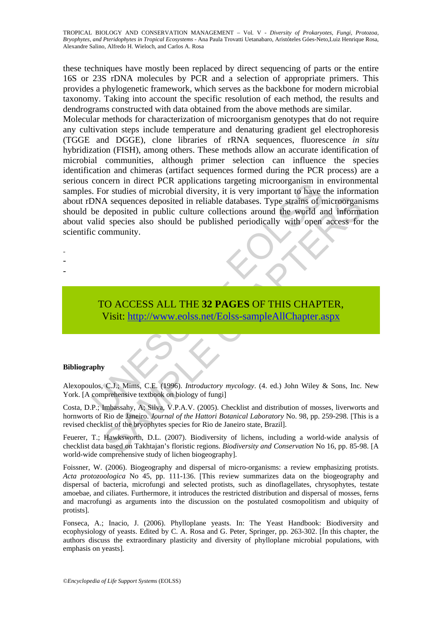these techniques have mostly been replaced by direct sequencing of parts or the entire 16S or 23S rDNA molecules by PCR and a selection of appropriate primers. This provides a phylogenetic framework, which serves as the backbone for modern microbial taxonomy. Taking into account the specific resolution of each method, the results and dendrograms constructed with data obtained from the above methods are similar.

Concern in unter Leck approachs angelige incrooting that the disc is the deposited in reliable databases. Type strains of the deposited in public culture collections around the world and and species also should be publishe A sequences deposited in reliable databases. Type strains of microorganial<br>eposited in public culture collections around the world and informated<br>al species also should be published periodically with open access for<br>ommuni Molecular methods for characterization of microorganism genotypes that do not require any cultivation steps include temperature and denaturing gradient gel electrophoresis (TGGE and DGGE), clone libraries of rRNA sequences, fluorescence *in situ* hybridization (FISH), among others. These methods allow an accurate identification of microbial communities, although primer selection can influence the species identification and chimeras (artifact sequences formed during the PCR process) are a serious concern in direct PCR applications targeting microorganism in environmental samples. For studies of microbial diversity, it is very important to have the information about rDNA sequences deposited in reliable databases. Type strains of microorganisms should be deposited in public culture collections around the world and information about valid species also should be published periodically with open access for the scientific community.

- -
- -
- -
- TO ACCESS ALL THE **32 PAGES** OF THIS CHAPTER, Visit: http://www.eolss.net/Eolss-sampleAllChapter.aspx

#### **Bibliography**

Alexopoulos, C.J.; Mims, C.E. (1996). *Introductory mycology*. (4. ed.) John Wiley & Sons, Inc. New York. [A comprehensive textbook on biology of fungi]

Costa, D.P.; Imbassahy, A; Silva, V.P.A.V. (2005). Checklist and distribution of mosses, liverworts and hornworts of Rio de Janeiro. *Journal of the Hattori Botanical Laboratory* No. 98, pp. 259-298. [This is a revised checklist of the bryophytes species for Rio de Janeiro state, Brazil].

Feuerer, T.; Hawksworth, D.L. (2007). Biodiversity of lichens, including a world-wide analysis of checklist data based on Takhtajan's floristic regions. *Biodiversity and Conservation* No 16, pp. 85-98. [A world-wide comprehensive study of lichen biogeography].

Foissner, W. (2006). Biogeography and dispersal of micro-organisms: a review emphasizing protists. *Acta protozoologica* No 45, pp. 111-136. [This review summarizes data on the biogeography and dispersal of bacteria, microfungi and selected protists, such as dinoflagellates, chrysophytes, testate amoebae, and ciliates. Furthermore, it introduces the restricted distribution and dispersal of mosses, ferns and macrofungi as arguments into the discussion on the postulated cosmopolitism and ubiquity of protists].

Fonseca, A.; Inacio, J. (2006). Phylloplane yeasts. In: The Yeast Handbook: Biodiversity and ecophysiology of yeasts. Edited by C. A. Rosa and G. Peter, Springer, pp. 263-302. [Ín this chapter, the authors discuss the extraordinary plasticity and diversity of phylloplane microbial populations, with emphasis on yeasts].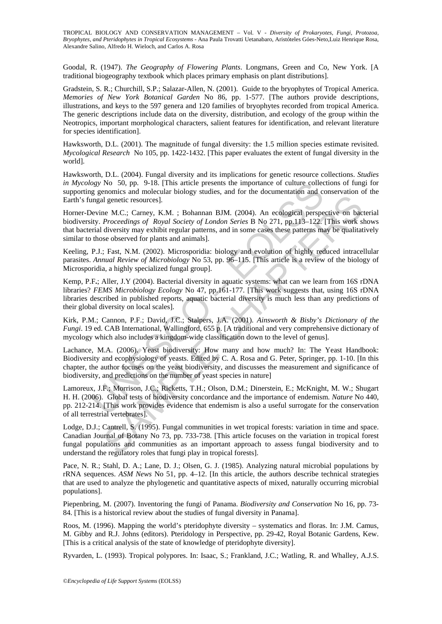Goodal, R. (1947). *The Geography of Flowering Plants*. Longmans, Green and Co, New York. [A traditional biogeography textbook which places primary emphasis on plant distributions].

Gradstein, S. R.; Churchill, S.P.; Salazar-Allen, N. (2001). Guide to the bryophytes of Tropical America. *Memories of New York Botanical Garden* No 86, pp. 1-577. [The authors provide descriptions, illustrations, and keys to the 597 genera and 120 families of bryophytes recorded from tropical America. The generic descriptions include data on the diversity, distribution, and ecology of the group within the Neotropics, important morphological characters, salient features for identification, and relevant literature for species identification].

Hawksworth, D.L. (2001). The magnitude of fungal diversity: the 1.5 million species estimate revisited. *Mycological Research* No 105, pp. 1422-1432. [This paper evaluates the extent of fungal diversity in the world].

Hawksworth, D.L. (2004). Fungal diversity and its implications for genetic resource collections. *Studies in Mycology* No 50, pp. 9-18. [This article presents the importance of culture collections of fungi for supporting genomics and molecular biology studies, and for the documentation and conservation of the Earth's fungal genetic resources].

Horner-Devine M.C.; Carney, K.M. ; Bohannan BJM. (2004). An ecological perspective on bacterial biodiversity. *Proceedings of Royal Society of London Series* B No 271, pp.113–122. [This work shows that bacterial diversity may exhibit regular patterns, and in some cases these patterns may be qualitatively similar to those observed for plants and animals].

Keeling, P.J.; Fast, N.M. (2002). Microsporidia: biology and evolution of highly reduced intracellular parasites. *Annual Review of Microbiology* No 53, pp. 96–115. [This article is a review of the biology of Microsporidia, a highly specialized fungal group].

ggy No 50, pp. 9-18. [This article presents the importance of culture college genomics and molecular biology studies, and for the documentation and college genomics and molecular biology studies, and for the documentation and genetic resources].<br>
The M.C.; Carney, K.M. ; Bohannan BJM. (2004). An ecological perspective on bac<br> *Proceedings of Royal Society of London Series* B No 271, pp.113-122. [This work si<br>
diversity may exhibit regular Kemp, P.F**.**; Aller, J.Y (2004). Bacterial diversity in aquatic systems: what can we learn from 16S rDNA libraries? *FEMS Microbiology Ecology* No 47, pp.161-177. [This work suggests that, using 16S rDNA libraries described in published reports, aquatic bacterial diversity is much less than any predictions of their global diversity on local scales].

Kirk, P.M.; Cannon, P.F.; David, J.C.; Stalpers, J.A. (2001). *Ainsworth & Bisby's Dictionary of the Fungi*. 19 ed. CAB International, Wallingford, 655 p. [A traditional and very comprehensive dictionary of mycology which also includes a kingdom-wide classification down to the level of genus].

Lachance, M.A. (2006). Yeast biodiversity: How many and how much? In: The Yeast Handbook: Biodiversity and ecophysiology of yeasts. Edited by C. A. Rosa and G. Peter, Springer, pp. 1-10. [In this chapter, the author focuses on the yeast biodiversity, and discusses the measurement and significance of biodiversity, and predictions on the number of yeast species in nature]

Lamoreux, J.F.; Morrison, J.C.; Ricketts, T.H.; Olson, D.M.; Dinerstein, E.; McKnight, M. W.; Shugart H. H. (2006). Global tests of biodiversity concordance and the importance of endemism. *Nature* No 440, pp. 212-214. [This work provides evidence that endemism is also a useful surrogate for the conservation of all terrestrial vertebrates].

Lodge, D.J.; Cantrell, S. (1995). Fungal communities in wet tropical forests: variation in time and space. Canadian Journal of Botany No 73, pp. 733-738. [This article focuses on the variation in tropical forest fungal populations and communities as an important approach to assess fungal biodiversity and to understand the regulatory roles that fungi play in tropical forests].

Pace, N. R.; Stahl, D. A.; Lane, D. J.; Olsen, G. J. (1985). Analyzing natural microbial populations by rRNA sequences. *ASM News* No 51, pp. 4–12. [In this article, the authors describe technical strategies that are used to analyze the phylogenetic and quantitative aspects of mixed, naturally occurring microbial populations].

Piepenbring, M. (2007). Inventoring the fungi of Panama. *Biodiversity and Conservation* No 16, pp. 73- 84. [This is a historical review about the studies of fungal diversity in Panama].

Roos, M. (1996). Mapping the world's pteridophyte diversity – systematics and floras. In: J.M. Camus, M. Gibby and R.J. Johns (editors). Pteridology in Perspective, pp. 29-42, Royal Botanic Gardens, Kew. [This is a critical analysis of the state of knowledge of pteridophyte diversity].

Ryvarden, L. (1993). Tropical polypores. In: Isaac, S.; Frankland, J.C.; Watling, R. and Whalley, A.J.S.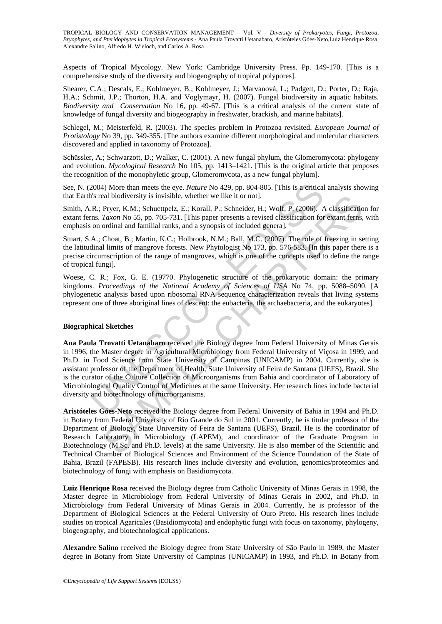Aspects of Tropical Mycology. New York: Cambridge University Press. Pp. 149-170. [This is a comprehensive study of the diversity and biogeography of tropical polypores].

Shearer, C.A.; Descals, E.; Kohlmeyer, B.; Kohlmeyer, J.; Marvanová, L.; Padgett, D.; Porter, D.; Raja, H.A.; Schmit, J.P.; Thorton, H.A. and Voglymayr, H. (2007). Fungal biodiversity in aquatic habitats. *Biodiversity and Conservation* No 16, pp. 49-67. [This is a critical analysis of the current state of knowledge of fungal diversity and biogeography in freshwater, brackish, and marine habitats].

Schlegel, M.; Meisterfeld, R. (2003). The species problem in Protozoa revisited. *European Journal of Protistology* No 39, pp. 349-355. [The authors examine different morphological and molecular characters discovered and applied in taxonomy of Protozoa].

Schüssler, A.; Schwarzott, D.; Walker, C. (2001). A new fungal phylum, the Glomeromycota: phylogeny and evolution. *Mycological Research* No 105, pp. 1413–1421. [This is the original article that proposes the recognition of the monophyletic group, Glomeromycota, as a new fungal phylum].

See, N. (2004) More than meets the eye. *Nature* No 429, pp. 804-805. [This is a critical analysis showing that Earth's real biodiversity is invisible, whether we like it or not].

Smith, A.R.; Pryer, K.M.; Schuettpelz, E.; Korall, P.; Schneider, H.; Wolf, P. (2006). A classification for extant ferns. *Taxon* No 55, pp. 705-731. [This paper presents a revised classification for extant ferns, with emphasis on ordinal and familial ranks, and a synopsis of included general.

Stuart, S.A.; Choat, B.; Martin, K.C.; Holbrook, N.M.; Ball, M.C. (2007). The role of freezing in setting the latitudinal limits of mangrove forests. New Phytologist No 173, pp. 576-583. [In this paper there is a precise circumscription of the range of mangroves, which is one of the concepts used to define the range of tropical fungi].

Woese, C. R.; Fox, G. E. (19770. Phylogenetic structure of the prokaryotic domain: the primary kingdoms. *Proceedings of the National Academy of Sciences of USA* No 74, pp. 5088–5090. [A phylogenetic analysis based upon ribosomal RNA sequence characterization reveals that living systems represent one of three aboriginal lines of descent: the eubacteria, the archaebacteria, and the eukaryotes].

#### **Biographical Sketches**

2004) More than meets the eye. *Nature* No 429, pp. 804-805. [This is a critical<br>
is real biodiversity is invisible, whether we like it or not].<br>
R.; Pryer, K.M.; Schuettpelz, E.; Korall, P.; Schneider, H.; Wolf, P. (2006 end biodiversity is invisible, whether we like it or not].<br>
Pryr, R.M.: Schuettely. E.; Korall, P.; Schenieler, H.; Wolf, P. (2006). A classification<br>
Taxon No 55, pp. 705-731. [This paper presents a revised classification **Ana Paula Trovatti Uetanabaro** received the Biology degree from Federal University of Minas Gerais in 1996, the Master degree in Agricultural Microbiology from Federal University of Viçosa in 1999, and Ph.D. in Food Science from State University of Campinas (UNICAMP) in 2004. Currently, she is assistant professor of the Department of Health, State University of Feira de Santana (UEFS), Brazil. She is the curator of the Culture Collection of Microorganisms from Bahia and coordinator of Laboratory of Microbiological Quality Control of Medicines at the same University. Her research lines include bacterial diversity and biotechnology of microorganisms.

**Aristóteles Góes-Neto** received the Biology degree from Federal University of Bahia in 1994 and Ph.D. in Botany from Federal University of Rio Grande do Sul in 2001. Currently, he is titular professor of the Department of Biology, State University of Feira de Santana (UEFS), Brazil. He is the coordinator of Research Laboratory in Microbiology (LAPEM), and coordinator of the Graduate Program in Biotechnology (M.Sc. and Ph.D. levels) at the same University. He is also member of the Scientific and Technical Chamber of Biological Sciences and Environment of the Science Foundation of the State of Bahia, Brazil (FAPESB). His research lines include diversity and evolution, genomics/proteomics and biotechnology of fungi with emphasis on Basidiomycota.

**Luiz Henrique Rosa** received the Biology degree from Catholic University of Minas Gerais in 1998, the Master degree in Microbiology from Federal University of Minas Gerais in 2002, and Ph.D. in Microbiology from Federal University of Minas Gerais in 2004. Currently, he is professor of the Department of Biological Sciences at the Federal University of Ouro Preto. His research lines include studies on tropical Agaricales (Basidiomycota) and endophytic fungi with focus on taxonomy, phylogeny, biogeography, and biotechnological applications.

**Alexandre Salino** received the Biology degree from State University of São Paulo in 1989, the Master degree in Botany from State University of Campinas (UNICAMP) in 1993, and Ph.D. in Botany from